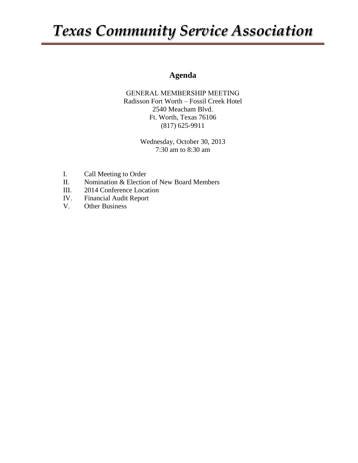## *Texas Community Service Association*

### **Agenda**

GENERAL MEMBERSHIP MEETING Radisson Fort Worth – Fossil Creek Hotel 2540 Meacham Blvd. Ft. Worth, Texas 76106 (817) 625-9911

> Wednesday, October 30, 2013 7:30 am to 8:30 am

- I. Call Meeting to Order
- II. Nomination & Election of New Board Members
- III. 2014 Conference Location
- IV. Financial Audit Report
- V. Other Business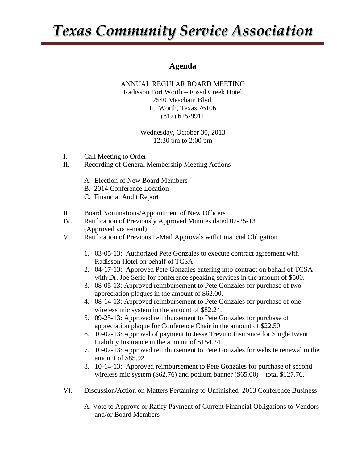## *Texas Community Service Association*

### **Agenda**

#### ANNUAL REGULAR BOARD MEETING Radisson Fort Worth – Fossil Creek Hotel 2540 Meacham Blvd. Ft. Worth, Texas 76106 (817) 625-9911

Wednesday, October 30, 2013 12:30 pm to 2:00 pm

- I. Call Meeting to Order
- II. Recording of General Membership Meeting Actions
	- A. Election of New Board Members
	- B. 2014 Conference Location
	- C. Financial Audit Report
- III. Board Nominations/Appointment of New Officers
- IV. Ratification of Previously Approved Minutes dated 02-25-13 (Approved via e-mail)
- V. Ratification of Previous E-Mail Approvals with Financial Obligation
	- 1. 03-05-13: Authorized Pete Gonzales to execute contract agreement with Radisson Hotel on behalf of TCSA.
	- 2. 04-17-13: Approved Pete Gonzales entering into contract on behalf of TCSA with Dr. Joe Serio for conference speaking services in the amount of \$500.
	- 3. 08-05-13: Approved reimbursement to Pete Gonzales for purchase of two appreciation plaques in the amount of \$62.00.
	- 4. 08-14-13: Approved reimbursement to Pete Gonzales for purchase of one wireless mic system in the amount of \$82.24.
	- 5. 09-25-13: Approved reimbursement to Pete Gonzales for purchase of appreciation plaque for Conference Chair in the amount of \$22.50.
	- 6. 10-02-13: Approval of payment to Jesse Trevino Insurance for Single Event Liability Insurance in the amount of \$154.24.
	- 7. 10-02-13: Approved reimbursement to Pete Gonzales for website renewal in the amount of \$85.92.
	- 8. 10-14-13: Approved reimbursement to Pete Gonzales for purchase of second wireless mic system (\$62.76) and podium banner (\$65.00) – total \$127.76.
- VI. Discussion/Action on Matters Pertaining to Unfinished 2013 Conference Business
	- A. Vote to Approve or Ratify Payment of Current Financial Obligations to Vendors and/or Board Members